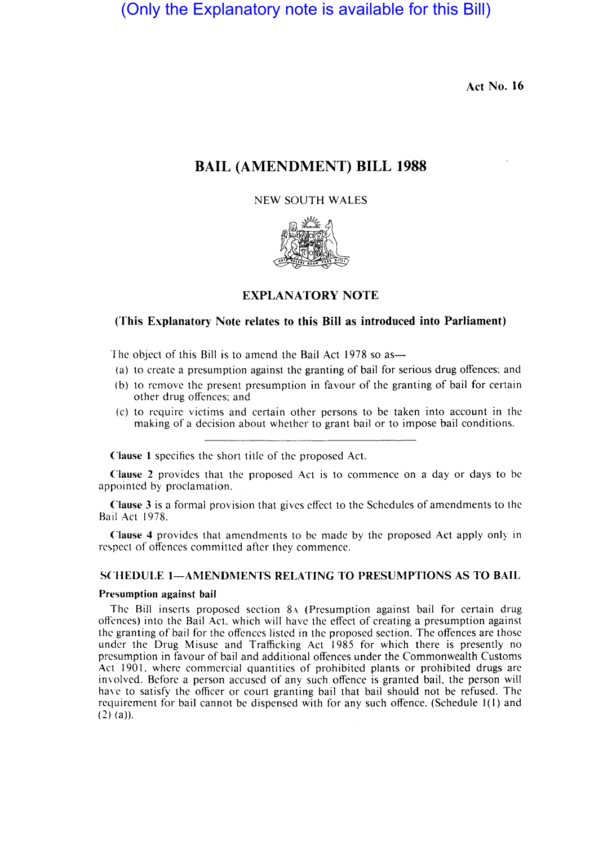(Only the Explanatory note is available for this Bill)

Act No. 16

# BAIL (AMENDMENT) BILL 1988

## NEW SOUTH WALES



## EXPLANATORY NOTE

## (This Explanatory Note relates to this Bill as introduced into Parliament)

The object of this Bill is to amend the Bail Act  $1978$  so as-

- (a) to create a presumption against the granting of bail for serious drug offences: and
- (b) to remove the present presumption in favour of the granting of bail for certain other drug offences: and
- (c) to require victims and certain other persons to be taken into account in the making of a decision about whether to grant bail or to impose bail conditions.

Clause I specifies the short title of the proposed Act.

Clause 2 provides that the proposed Act is to commence on a day or days to be appointed by proclamation.

Clause 3 is a formal provision that gives effect to the Schedules of amendments to the Bail Act 1978.

Clause 4 provides that amendments to be made by the proposed Act apply only in respect of offences committed after they commence.

## SCHEDULE I-AMENDMENTS RELATING TO PRESUMPTIONS AS TO BAIL

#### Presumption against bail

The Bill inserts proposed section 8A (Presumption against bail for certain drug offences) into the Bail Act, which will have the effect of creating a presumption against the granting of bail for the offences listed in the proposed section. The offences are those under the Drug Misuse and Trafficking Act 1985 for which there is presently no presumption in favour of bail and additional offences under the Commonwealth Customs Act 1901, where commercial quantities of prohibited plants or prohibited drugs are involved. Before a person accused of any such offence is granted bail, the person will have to satisfy the officer or court granting bail that bail should not be refused. The requirement for bail cannot be dispensed with for any such offence. (Schedule 1(1) and  $(2)$  (a)).